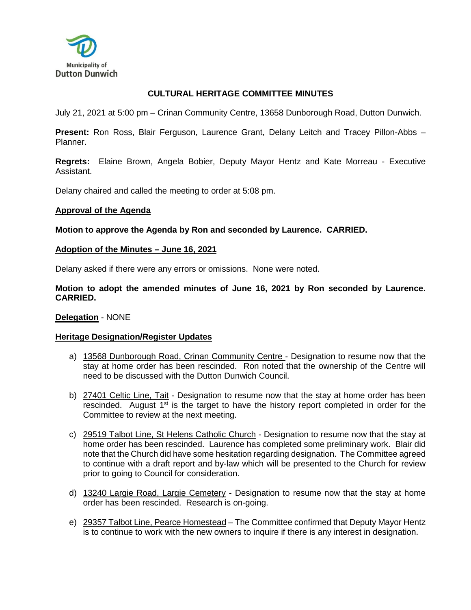

# **CULTURAL HERITAGE COMMITTEE MINUTES**

July 21, 2021 at 5:00 pm – Crinan Community Centre, 13658 Dunborough Road, Dutton Dunwich.

**Present:** Ron Ross, Blair Ferguson, Laurence Grant, Delany Leitch and Tracey Pillon-Abbs – Planner.

**Regrets:** Elaine Brown, Angela Bobier, Deputy Mayor Hentz and Kate Morreau - Executive Assistant.

Delany chaired and called the meeting to order at 5:08 pm.

### **Approval of the Agenda**

**Motion to approve the Agenda by Ron and seconded by Laurence. CARRIED.**

#### **Adoption of the Minutes – June 16, 2021**

Delany asked if there were any errors or omissions. None were noted.

**Motion to adopt the amended minutes of June 16, 2021 by Ron seconded by Laurence. CARRIED.** 

### **Delegation** - NONE

### **Heritage Designation/Register Updates**

- a) 13568 Dunborough Road, Crinan Community Centre Designation to resume now that the stay at home order has been rescinded. Ron noted that the ownership of the Centre will need to be discussed with the Dutton Dunwich Council.
- b) 27401 Celtic Line, Tait Designation to resume now that the stay at home order has been rescinded. August  $1<sup>st</sup>$  is the target to have the history report completed in order for the Committee to review at the next meeting.
- c) 29519 Talbot Line, St Helens Catholic Church Designation to resume now that the stay at home order has been rescinded. Laurence has completed some preliminary work. Blair did note that the Church did have some hesitation regarding designation. The Committee agreed to continue with a draft report and by-law which will be presented to the Church for review prior to going to Council for consideration.
- d) 13240 Largie Road, Largie Cemetery Designation to resume now that the stay at home order has been rescinded. Research is on-going.
- e) 29357 Talbot Line, Pearce Homestead The Committee confirmed that Deputy Mayor Hentz is to continue to work with the new owners to inquire if there is any interest in designation.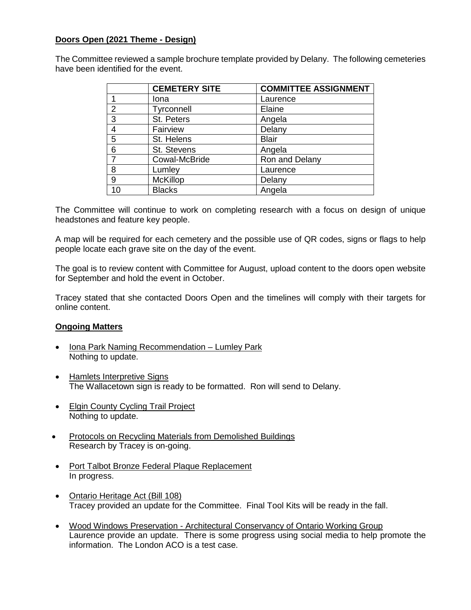# **Doors Open (2021 Theme - Design)**

The Committee reviewed a sample brochure template provided by Delany. The following cemeteries have been identified for the event.

|                | <b>CEMETERY SITE</b> | <b>COMMITTEE ASSIGNMENT</b> |
|----------------|----------------------|-----------------------------|
|                | Iona                 | Laurence                    |
| $\overline{2}$ | Tyrconnell           | Elaine                      |
| 3              | St. Peters           | Angela                      |
| 4              | Fairview             | Delany                      |
| 5              | St. Helens           | <b>Blair</b>                |
| 6              | St. Stevens          | Angela                      |
| 7              | Cowal-McBride        | Ron and Delany              |
| 8              | Lumley               | Laurence                    |
| 9              | <b>McKillop</b>      | Delany                      |
| 10             | <b>Blacks</b>        | Angela                      |

The Committee will continue to work on completing research with a focus on design of unique headstones and feature key people.

A map will be required for each cemetery and the possible use of QR codes, signs or flags to help people locate each grave site on the day of the event.

The goal is to review content with Committee for August, upload content to the doors open website for September and hold the event in October.

Tracey stated that she contacted Doors Open and the timelines will comply with their targets for online content.

## **Ongoing Matters**

- Iona Park Naming Recommendation Lumley Park Nothing to update.
- Hamlets Interpretive Signs The Wallacetown sign is ready to be formatted. Ron will send to Delany.
- Elgin County Cycling Trail Project Nothing to update.
- Protocols on Recycling Materials from Demolished Buildings Research by Tracey is on-going.
- Port Talbot Bronze Federal Plaque Replacement In progress.
- Ontario Heritage Act (Bill 108) Tracey provided an update for the Committee. Final Tool Kits will be ready in the fall.
- Wood Windows Preservation Architectural Conservancy of Ontario Working Group Laurence provide an update. There is some progress using social media to help promote the information. The London ACO is a test case.